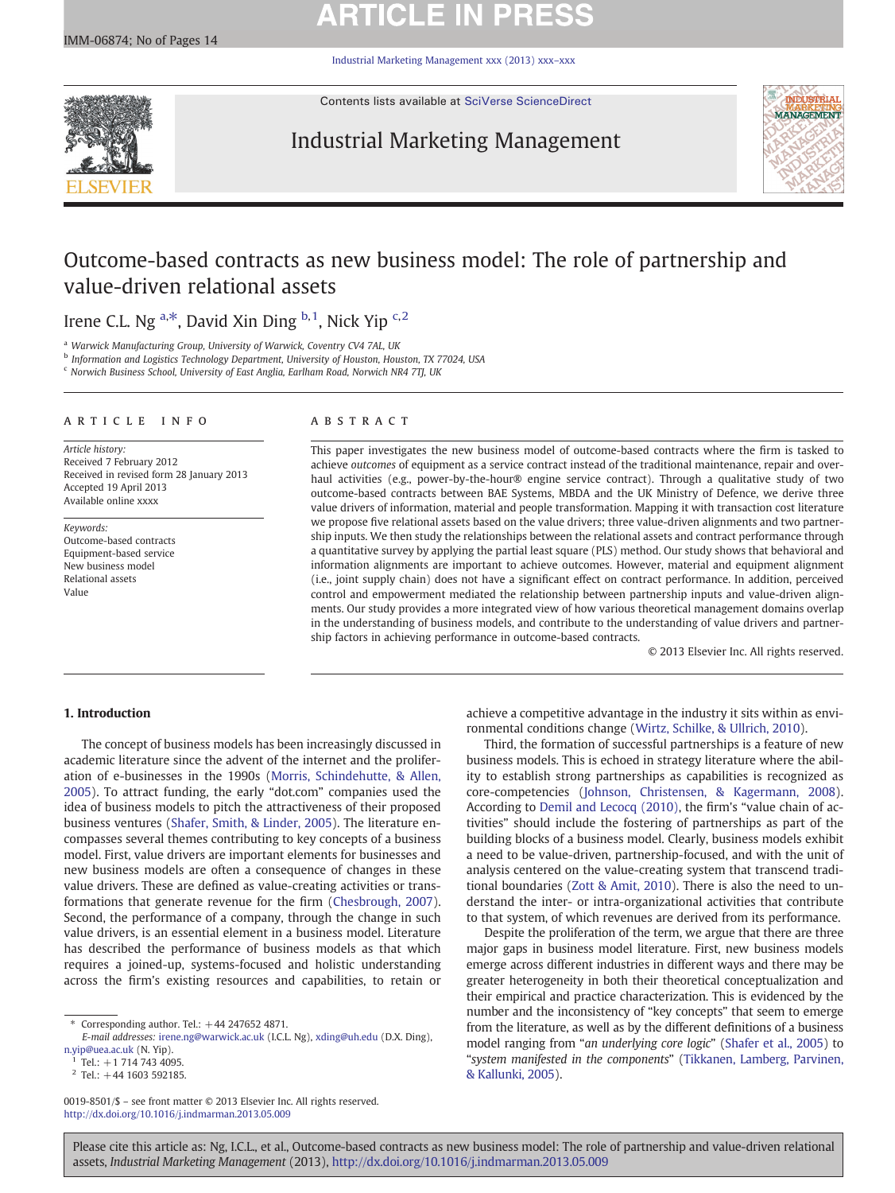# **ARTICLE IN PRESS**

[Industrial Marketing Management xxx \(2013\) xxx](http://dx.doi.org/10.1016/j.indmarman.2013.05.009)–xxx



Contents lists available at [SciVerse ScienceDirect](http://www.sciencedirect.com/science/journal/00198501)

## Industrial Marketing Management



## Outcome-based contracts as new business model: The role of partnership and value-driven relational assets

## Irene C.L. Ng <sup>a,\*</sup>, David Xin Ding <sup>b, 1</sup>, Nick Yip <sup>c, 2</sup>

<sup>a</sup> Warwick Manufacturing Group, University of Warwick, Coventry CV4 7AL, UK

b Information and Logistics Technology Department, University of Houston, Houston, TX 77024, USA

<sup>c</sup> Norwich Business School, University of East Anglia, Earlham Road, Norwich NR4 7TJ, UK

#### article info abstract

Article history: Received 7 February 2012 Received in revised form 28 January 2013 Accepted 19 April 2013 Available online xxxx

Keywords: Outcome-based contracts Equipment-based service New business model Relational assets Value

This paper investigates the new business model of outcome-based contracts where the firm is tasked to achieve outcomes of equipment as a service contract instead of the traditional maintenance, repair and overhaul activities (e.g., power-by-the-hour® engine service contract). Through a qualitative study of two outcome-based contracts between BAE Systems, MBDA and the UK Ministry of Defence, we derive three value drivers of information, material and people transformation. Mapping it with transaction cost literature we propose five relational assets based on the value drivers; three value-driven alignments and two partnership inputs. We then study the relationships between the relational assets and contract performance through a quantitative survey by applying the partial least square (PLS) method. Our study shows that behavioral and information alignments are important to achieve outcomes. However, material and equipment alignment (i.e., joint supply chain) does not have a significant effect on contract performance. In addition, perceived control and empowerment mediated the relationship between partnership inputs and value-driven alignments. Our study provides a more integrated view of how various theoretical management domains overlap in the understanding of business models, and contribute to the understanding of value drivers and partnership factors in achieving performance in outcome-based contracts.

© 2013 Elsevier Inc. All rights reserved.

### 1. Introduction

The concept of business models has been increasingly discussed in academic literature since the advent of the internet and the proliferation of e-businesses in the 1990s ([Morris, Schindehutte, & Allen,](#page--1-0) [2005\)](#page--1-0). To attract funding, the early "dot.com" companies used the idea of business models to pitch the attractiveness of their proposed business ventures ([Shafer, Smith, & Linder, 2005\)](#page--1-0). The literature encompasses several themes contributing to key concepts of a business model. First, value drivers are important elements for businesses and new business models are often a consequence of changes in these value drivers. These are defined as value-creating activities or transformations that generate revenue for the firm ([Chesbrough, 2007](#page--1-0)). Second, the performance of a company, through the change in such value drivers, is an essential element in a business model. Literature has described the performance of business models as that which requires a joined-up, systems-focused and holistic understanding across the firm's existing resources and capabilities, to retain or

0019-8501/\$ – see front matter © 2013 Elsevier Inc. All rights reserved. <http://dx.doi.org/10.1016/j.indmarman.2013.05.009>

achieve a competitive advantage in the industry it sits within as environmental conditions change [\(Wirtz, Schilke, & Ullrich, 2010\)](#page--1-0).

Third, the formation of successful partnerships is a feature of new business models. This is echoed in strategy literature where the ability to establish strong partnerships as capabilities is recognized as core-competencies ([Johnson, Christensen, & Kagermann, 2008](#page--1-0)). According to [Demil and Lecocq \(2010\),](#page--1-0) the firm's "value chain of activities" should include the fostering of partnerships as part of the building blocks of a business model. Clearly, business models exhibit a need to be value-driven, partnership-focused, and with the unit of analysis centered on the value-creating system that transcend traditional boundaries ([Zott & Amit, 2010\)](#page--1-0). There is also the need to understand the inter- or intra-organizational activities that contribute to that system, of which revenues are derived from its performance.

Despite the proliferation of the term, we argue that there are three major gaps in business model literature. First, new business models emerge across different industries in different ways and there may be greater heterogeneity in both their theoretical conceptualization and their empirical and practice characterization. This is evidenced by the number and the inconsistency of "key concepts" that seem to emerge from the literature, as well as by the different definitions of a business model ranging from "an underlying core logic" ([Shafer et al., 2005](#page--1-0)) to "system manifested in the components" [\(Tikkanen, Lamberg, Parvinen,](#page--1-0) [& Kallunki, 2005](#page--1-0)).

Please cite this article as: Ng, I.C.L., et al., Outcome-based contracts as new business model: The role of partnership and value-driven relational assets, Industrial Marketing Management (2013), <http://dx.doi.org/10.1016/j.indmarman.2013.05.009>

Corresponding author. Tel.:  $+44$  247652 4871.

E-mail addresses: [irene.ng@warwick.ac.uk](mailto:irene.ng@warwick.ac.uk) (I.C.L. Ng), [xding@uh.edu](mailto:xding@uh.edu) (D.X. Ding), [n.yip@uea.ac.uk](mailto:n.yip@uea.ac.uk) (N. Yip).

 $Tel.: +1 714 743 4095.$ 

 $2$  Tel.:  $+44$  1603 592185.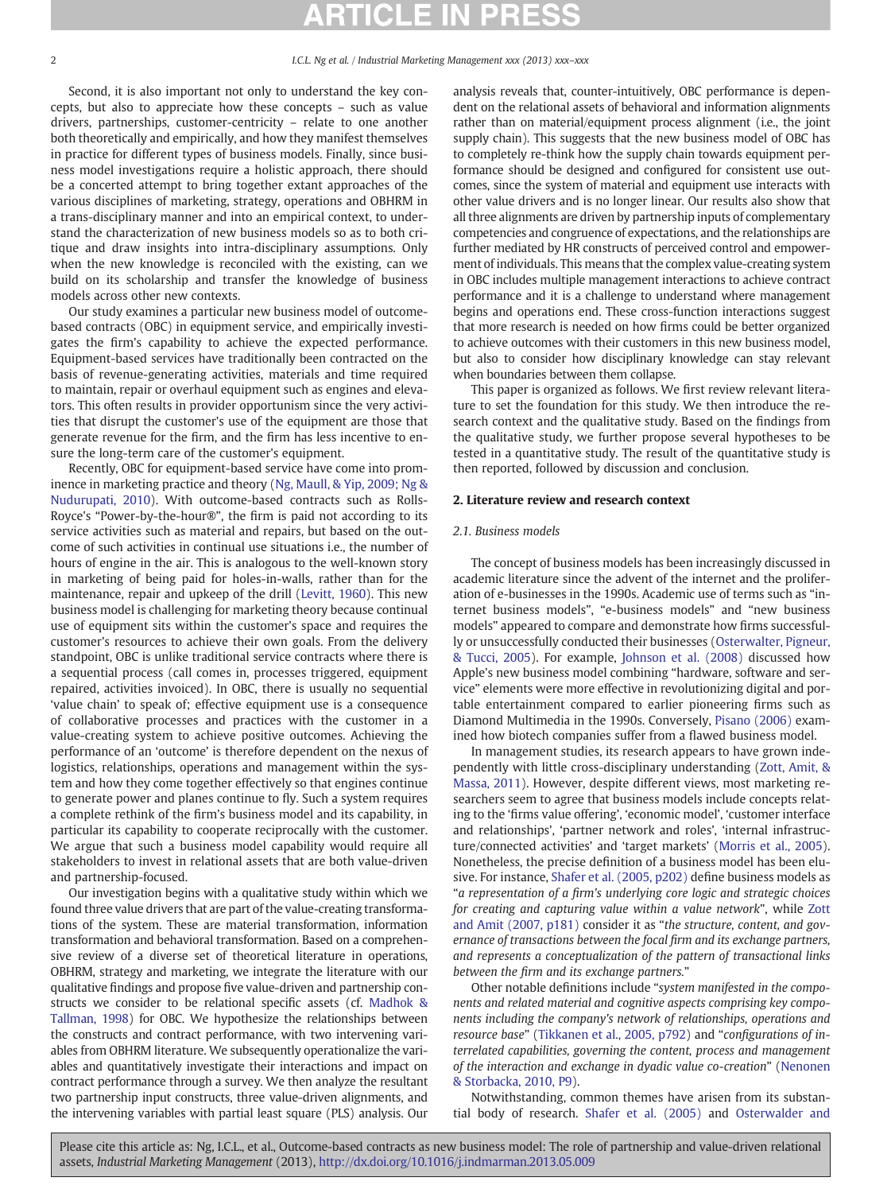#### 2 **I.C.L.** Ng et al. / Industrial Marketing Management xxx (2013) xxx–xxx

Second, it is also important not only to understand the key concepts, but also to appreciate how these concepts – such as value drivers, partnerships, customer-centricity – relate to one another both theoretically and empirically, and how they manifest themselves in practice for different types of business models. Finally, since business model investigations require a holistic approach, there should be a concerted attempt to bring together extant approaches of the various disciplines of marketing, strategy, operations and OBHRM in a trans-disciplinary manner and into an empirical context, to understand the characterization of new business models so as to both critique and draw insights into intra-disciplinary assumptions. Only when the new knowledge is reconciled with the existing, can we build on its scholarship and transfer the knowledge of business models across other new contexts.

Our study examines a particular new business model of outcomebased contracts (OBC) in equipment service, and empirically investigates the firm's capability to achieve the expected performance. Equipment-based services have traditionally been contracted on the basis of revenue-generating activities, materials and time required to maintain, repair or overhaul equipment such as engines and elevators. This often results in provider opportunism since the very activities that disrupt the customer's use of the equipment are those that generate revenue for the firm, and the firm has less incentive to ensure the long-term care of the customer's equipment.

Recently, OBC for equipment-based service have come into prominence in marketing practice and theory [\(Ng, Maull, & Yip, 2009; Ng &](#page--1-0) [Nudurupati, 2010](#page--1-0)). With outcome-based contracts such as Rolls-Royce's "Power-by-the-hour®", the firm is paid not according to its service activities such as material and repairs, but based on the outcome of such activities in continual use situations i.e., the number of hours of engine in the air. This is analogous to the well-known story in marketing of being paid for holes-in-walls, rather than for the maintenance, repair and upkeep of the drill [\(Levitt, 1960](#page--1-0)). This new business model is challenging for marketing theory because continual use of equipment sits within the customer's space and requires the customer's resources to achieve their own goals. From the delivery standpoint, OBC is unlike traditional service contracts where there is a sequential process (call comes in, processes triggered, equipment repaired, activities invoiced). In OBC, there is usually no sequential 'value chain' to speak of; effective equipment use is a consequence of collaborative processes and practices with the customer in a value-creating system to achieve positive outcomes. Achieving the performance of an 'outcome' is therefore dependent on the nexus of logistics, relationships, operations and management within the system and how they come together effectively so that engines continue to generate power and planes continue to fly. Such a system requires a complete rethink of the firm's business model and its capability, in particular its capability to cooperate reciprocally with the customer. We argue that such a business model capability would require all stakeholders to invest in relational assets that are both value-driven and partnership-focused.

Our investigation begins with a qualitative study within which we found three value drivers that are part of the value-creating transformations of the system. These are material transformation, information transformation and behavioral transformation. Based on a comprehensive review of a diverse set of theoretical literature in operations, OBHRM, strategy and marketing, we integrate the literature with our qualitative findings and propose five value-driven and partnership constructs we consider to be relational specific assets (cf. [Madhok &](#page--1-0) [Tallman, 1998\)](#page--1-0) for OBC. We hypothesize the relationships between the constructs and contract performance, with two intervening variables from OBHRM literature. We subsequently operationalize the variables and quantitatively investigate their interactions and impact on contract performance through a survey. We then analyze the resultant two partnership input constructs, three value-driven alignments, and the intervening variables with partial least square (PLS) analysis. Our

analysis reveals that, counter-intuitively, OBC performance is dependent on the relational assets of behavioral and information alignments rather than on material/equipment process alignment (i.e., the joint supply chain). This suggests that the new business model of OBC has to completely re-think how the supply chain towards equipment performance should be designed and configured for consistent use outcomes, since the system of material and equipment use interacts with other value drivers and is no longer linear. Our results also show that all three alignments are driven by partnership inputs of complementary competencies and congruence of expectations, and the relationships are further mediated by HR constructs of perceived control and empowerment of individuals. This means that the complex value-creating system in OBC includes multiple management interactions to achieve contract performance and it is a challenge to understand where management begins and operations end. These cross-function interactions suggest that more research is needed on how firms could be better organized to achieve outcomes with their customers in this new business model, but also to consider how disciplinary knowledge can stay relevant when boundaries between them collapse.

This paper is organized as follows. We first review relevant literature to set the foundation for this study. We then introduce the research context and the qualitative study. Based on the findings from the qualitative study, we further propose several hypotheses to be tested in a quantitative study. The result of the quantitative study is then reported, followed by discussion and conclusion.

### 2. Literature review and research context

#### 2.1. Business models

The concept of business models has been increasingly discussed in academic literature since the advent of the internet and the proliferation of e-businesses in the 1990s. Academic use of terms such as "internet business models", "e-business models" and "new business models" appeared to compare and demonstrate how firms successfully or unsuccessfully conducted their businesses ([Osterwalter, Pigneur,](#page--1-0) [& Tucci, 2005](#page--1-0)). For example, [Johnson et al. \(2008\)](#page--1-0) discussed how Apple's new business model combining "hardware, software and service" elements were more effective in revolutionizing digital and portable entertainment compared to earlier pioneering firms such as Diamond Multimedia in the 1990s. Conversely, [Pisano \(2006\)](#page--1-0) examined how biotech companies suffer from a flawed business model.

In management studies, its research appears to have grown independently with little cross-disciplinary understanding ([Zott, Amit, &](#page--1-0) [Massa, 2011\)](#page--1-0). However, despite different views, most marketing researchers seem to agree that business models include concepts relating to the 'firms value offering', 'economic model', 'customer interface and relationships', 'partner network and roles', 'internal infrastructure/connected activities' and 'target markets' ([Morris et al., 2005](#page--1-0)). Nonetheless, the precise definition of a business model has been elusive. For instance, [Shafer et al. \(2005, p202\)](#page--1-0) define business models as "a representation of a firm's underlying core logic and strategic choices for creating and capturing value within a value network", while [Zott](#page--1-0) [and Amit \(2007, p181\)](#page--1-0) consider it as "the structure, content, and governance of transactions between the focal firm and its exchange partners, and represents a conceptualization of the pattern of transactional links between the firm and its exchange partners."

Other notable definitions include "system manifested in the components and related material and cognitive aspects comprising key components including the company's network of relationships, operations and resource base" [\(Tikkanen et al., 2005, p792\)](#page--1-0) and "configurations of interrelated capabilities, governing the content, process and management of the interaction and exchange in dyadic value co-creation" ([Nenonen](#page--1-0) [& Storbacka, 2010, P9\)](#page--1-0).

Notwithstanding, common themes have arisen from its substantial body of research. [Shafer et al. \(2005\)](#page--1-0) and [Osterwalder and](#page--1-0)